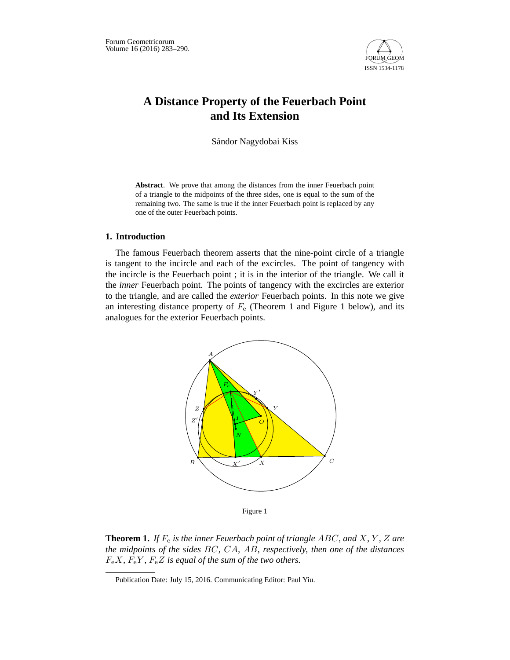

## **A Distance Property of the Feuerbach Point and Its Extension**

Sándor Nagydobai Kiss

**Abstract**. We prove that among the distances from the inner Feuerbach point of a triangle to the midpoints of the three sides, one is equal to the sum of the remaining two. The same is true if the inner Feuerbach point is replaced by any one of the outer Feuerbach points.

### **1. Introduction**

The famous Feuerbach theorem asserts that the nine-point circle of a triangle is tangent to the incircle and each of the excircles. The point of tangency with the incircle is the Feuerbach point ; it is in the interior of the triangle. We call it the *inner* Feuerbach point. The points of tangency with the excircles are exterior to the triangle, and are called the *exterior* Feuerbach points. In this note we give an interesting distance property of  $F<sub>e</sub>$  (Theorem 1 and Figure 1 below), and its analogues for the exterior Feuerbach points.



Figure 1

**Theorem 1.** If  $F_e$  is the inner Feuerbach point of triangle ABC, and X, Y, Z are *the midpoints of the sides* BC*,* CA*,* AB*, respectively, then one of the distances*  $F_eX$ ,  $F_eY$ ,  $F_eZ$  *is equal of the sum of the two others.* 

Publication Date: July 15, 2016. Communicating Editor: Paul Yiu.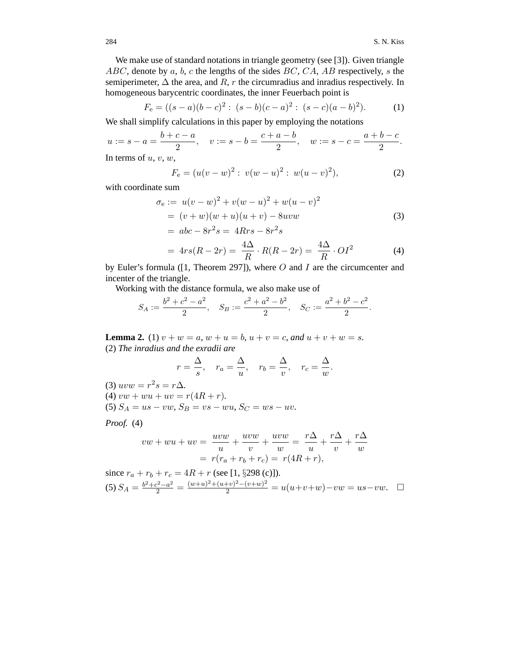We make use of standard notations in triangle geometry (see [3]). Given triangle  $ABC$ , denote by a, b, c the lengths of the sides  $BC$ ,  $CA$ ,  $AB$  respectively, s the semiperimeter,  $\Delta$  the area, and R, r the circumradius and inradius respectively. In homogeneous barycentric coordinates, the inner Feuerbach point is

$$
F_e = ((s-a)(b-c)^2 : (s-b)(c-a)^2 : (s-c)(a-b)^2).
$$
 (1)

We shall simplify calculations in this paper by employing the notations

$$
u := s - a = \frac{b + c - a}{2}
$$
,  $v := s - b = \frac{c + a - b}{2}$ ,  $w := s - c = \frac{a + b - c}{2}$ .

In terms of  $u, v, w$ ,

$$
F_e = (u(v - w)^2 : v(w - u)^2 : w(u - v)^2),
$$
\n(2)

with coordinate sum

$$
\sigma_e := u(v - w)^2 + v(w - u)^2 + w(u - v)^2
$$
  
=  $(v + w)(w + u)(u + v) - 8uvw$  (3)  
=  $abc - 8r^2s = 4Rrs - 8r^2s$   
 $4\Delta P(P_1, 2r) = 4\Delta P(P_2, 2r) = 4\Delta Q_1r^2$  (4)

$$
=4rs(R-2r)=\frac{4\Delta}{R}\cdot R(R-2r)=\frac{4\Delta}{R}\cdot OI^2\tag{4}
$$

by Euler's formula ([1, Theorem 297]), where  $O$  and  $I$  are the circumcenter and incenter of the triangle.

Working with the distance formula, we also make use of

$$
S_A := \frac{b^2 + c^2 - a^2}{2}, \quad S_B := \frac{c^2 + a^2 - b^2}{2}, \quad S_C := \frac{a^2 + b^2 - c^2}{2}.
$$

**Lemma 2.** (1)  $v + w = a$ ,  $w + u = b$ ,  $u + v = c$ , and  $u + v + w = s$ . (2) *The inradius and the exradii are*

$$
r = \frac{\Delta}{s}
$$
,  $r_a = \frac{\Delta}{u}$ ,  $r_b = \frac{\Delta}{v}$ ,  $r_c = \frac{\Delta}{w}$ .

(3)  $uvw = r^2s = r\Delta$ .

$$
(4) vw + wu + uv = r(4R + r).
$$

(5)  $S_A = us - vw$ ,  $S_B = vs - wu$ ,  $S_C = ws - uv$ .

*Proof.* (4)

$$
vw + wu + uv = \frac{uvw}{u} + \frac{uvw}{v} + \frac{uvw}{w} = \frac{r\Delta}{u} + \frac{r\Delta}{v} + \frac{r\Delta}{w}
$$

$$
= r(r_a + r_b + r_c) = r(4R + r),
$$

since  $r_a + r_b + r_c = 4R + r$  (see [1, §298 (c)]).  $(5)$   $S_A = \frac{b^2 + c^2 - a^2}{2} = \frac{(w+u)^2 + (u+v)^2 - (v+w)^2}{2} = u(u+v+w) - vw = us - vw.$   $□$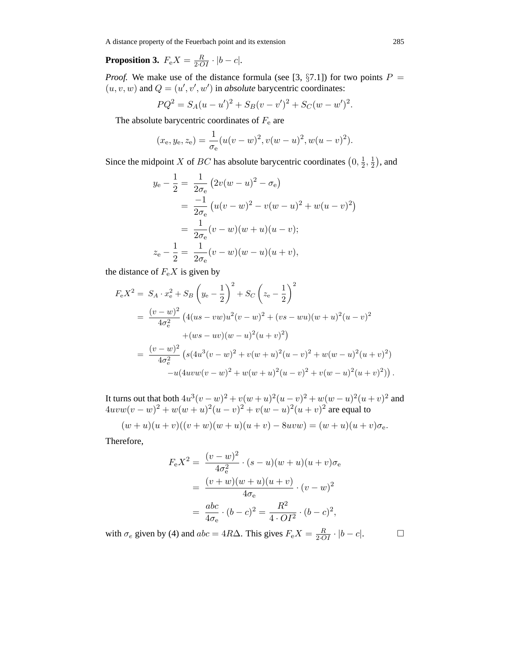A distance property of the Feuerbach point and its extension 285

# **Proposition 3.**  $F_e X = \frac{R}{2 \cdot O I} \cdot |b - c|$ .

*Proof.* We make use of the distance formula (see [3,  $\S7.1$ ]) for two points  $P =$  $(u, v, w)$  and  $Q = (u', v', w')$  in *absolute* barycentric coordinates:

$$
PQ^{2} = S_{A}(u - u')^{2} + S_{B}(v - v')^{2} + S_{C}(w - w')^{2}.
$$

The absolute barycentric coordinates of  $F<sub>e</sub>$  are

$$
(x_e, y_e, z_e) = \frac{1}{\sigma_e} (u(v - w)^2, v(w - u)^2, w(u - v)^2).
$$

Since the midpoint X of BC has absolute barycentric coordinates  $(0, \frac{1}{2}, \frac{1}{2})$ , and

$$
y_{e} - \frac{1}{2} = \frac{1}{2\sigma_{e}} (2v(w - u)^{2} - \sigma_{e})
$$
  
= 
$$
\frac{-1}{2\sigma_{e}} (u(v - w)^{2} - v(w - u)^{2} + w(u - v)^{2})
$$
  
= 
$$
\frac{1}{2\sigma_{e}} (v - w)(w + u)(u - v);
$$
  

$$
z_{e} - \frac{1}{2} = \frac{1}{2\sigma_{e}} (v - w)(w - u)(u + v),
$$

the distance of  $F_eX$  is given by

$$
F_{e}X^{2} = S_{A} \cdot x_{e}^{2} + S_{B} \left(y_{e} - \frac{1}{2}\right)^{2} + S_{C} \left(z_{e} - \frac{1}{2}\right)^{2}
$$
  
= 
$$
\frac{(v - w)^{2}}{4\sigma_{e}^{2}} \left(4(us - vw)u^{2}(v - w)^{2} + (vs - wu)(w + u)^{2}(u - v)^{2} + (ws - uv)(w - u)^{2}(u + v)^{2}\right)
$$
  
= 
$$
\frac{(v - w)^{2}}{4\sigma_{e}^{2}} \left(s(4u^{3}(v - w)^{2} + v(w + u)^{2}(u - v)^{2} + w(w - u)^{2}(u + v)^{2}) -u(4uvw(v - w)^{2} + w(w + u)^{2}(u - v)^{2} + v(w - u)^{2}(u + v)^{2})\right).
$$

It turns out that both  $4u^3(v - w)^2 + v(w + u)^2(u - v)^2 + w(w - u)^2(u + v)^2$  and  $4uvw(v - w)^{2} + w(w + u)^{2}(u - v)^{2} + v(w - u)^{2}(u + v)^{2}$  are equal to

$$
(w+u)(u+v)((v+w)(w+u)(u+v)-8uvw) = (w+u)(u+v)\sigma_e.
$$

Therefore,

$$
F_{e}X^{2} = \frac{(v-w)^{2}}{4\sigma_{e}^{2}} \cdot (s-u)(w+u)(u+v)\sigma_{e}
$$
  
= 
$$
\frac{(v+w)(w+u)(u+v)}{4\sigma_{e}} \cdot (v-w)^{2}
$$
  
= 
$$
\frac{abc}{4\sigma_{e}} \cdot (b-c)^{2} = \frac{R^{2}}{4 \cdot O I^{2}} \cdot (b-c)^{2},
$$

with  $\sigma_e$  given by (4) and  $abc = 4R\Delta$ . This gives  $F_e X = \frac{R}{2 \cdot \overline{O} I} \cdot |b - c|$ .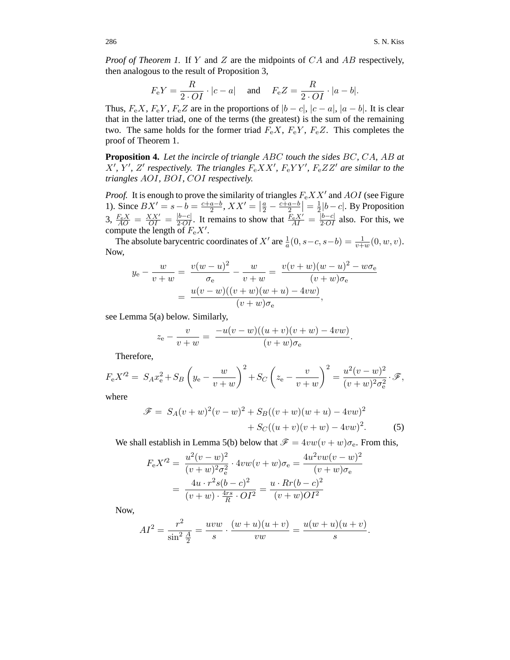*Proof of Theorem 1.* If Y and Z are the midpoints of CA and AB respectively, then analogous to the result of Proposition 3,

$$
F_{\rm e}Y = \frac{R}{2 \cdot O I} \cdot |c - a| \quad \text{and} \quad F_{\rm e}Z = \frac{R}{2 \cdot O I} \cdot |a - b|.
$$

Thus,  $F_e X$ ,  $F_e Y$ ,  $F_e Z$  are in the proportions of  $|b - c|$ ,  $|c - a|$ ,  $|a - b|$ . It is clear that in the latter triad, one of the terms (the greatest) is the sum of the remaining two. The same holds for the former triad  $F_eX$ ,  $F_eY$ ,  $F_eZ$ . This completes the proof of Theorem 1.

**Proposition 4.** *Let the incircle of triangle* ABC *touch the sides* BC*,* CA*,* AB *at*  $X', Y', Z'$  respectively. The triangles  $F_e XX', F_e YY', F_e ZZ'$  are similar to the *triangles* AOI*,* BOI*,* COI *respectively.*

*Proof.* It is enough to prove the similarity of triangles  $F_eXX'$  and  $AOI$  (see Figure 1). Since  $BX' = s - b = \frac{c + a - b}{2}$ ,  $XX' = \left| \frac{a}{2} - \frac{c + a - b}{2} \right| = \frac{1}{2} |b - c|$ . By Proposition 3,  $\frac{F_e X}{AO} = \frac{XX'}{OI} = \frac{|b-c|}{2 \cdot OL}$ . It remains to show that  $\frac{F_e X'}{AI} = \frac{|b-c|}{2 \cdot OL}$  also. For this, we compute the length of  $F_e X'$ .

The absolute barycentric coordinates of X' are  $\frac{1}{a}(0, s-c, s-b) = \frac{1}{v+w}(0, w, v)$ . Now,

$$
y_{e} - \frac{w}{v+w} = \frac{v(w-u)^{2}}{\sigma_{e}} - \frac{w}{v+w} = \frac{v(v+w)(w-u)^{2} - w\sigma_{e}}{(v+w)\sigma_{e}}
$$

$$
= \frac{u(v-w)((v+w)(w+u) - 4vw)}{(v+w)\sigma_{e}},
$$

see Lemma 5(a) below. Similarly,

$$
z_{e} - \frac{v}{v+w} = \frac{-u(v-w)((u+v)(v+w) - 4vw)}{(v+w)\sigma_{e}}
$$

Therefore,

$$
F_{\rm e}X'^2 = S_A x_{\rm e}^2 + S_B \left( y_{\rm e} - \frac{w}{v+w} \right)^2 + S_C \left( z_{\rm e} - \frac{v}{v+w} \right)^2 = \frac{u^2 (v-w)^2}{(v+w)^2 \sigma_{\rm e}^2} \cdot \mathscr{F},
$$

where

$$
\mathcal{F} = S_A(v+w)^2(v-w)^2 + S_B((v+w)(w+u) - 4vw)^2
$$
  
+  $S_C((u+v)(v+w) - 4vw)^2$ . (5)

.

We shall establish in Lemma 5(b) below that  $\mathcal{F} = 4vw(v+w)\sigma_e$ . From this,

$$
F_e X^{\prime 2} = \frac{u^2 (v - w)^2}{(v + w)^2 \sigma_e^2} \cdot 4vw(v + w)\sigma_e = \frac{4u^2 vw(v - w)^2}{(v + w)\sigma_e}
$$

$$
= \frac{4u \cdot r^2 s(b - c)^2}{(v + w) \cdot \frac{4rs}{R} \cdot OI^2} = \frac{u \cdot Rr(b - c)^2}{(v + w)OI^2}
$$

Now,

$$
AI^{2} = \frac{r^{2}}{\sin^{2} \frac{A}{2}} = \frac{uvw}{s} \cdot \frac{(w+u)(u+v)}{vw} = \frac{u(w+u)(u+v)}{s}.
$$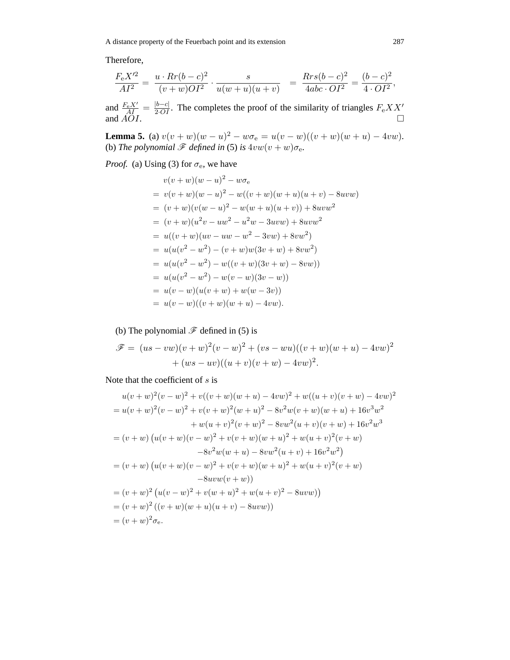A distance property of the Feuerbach point and its extension 287

Therefore,

$$
\frac{F_e X'^2}{A I^2} = \frac{u \cdot Rr(b-c)^2}{(v+w)O I^2} \cdot \frac{s}{u(w+u)(u+v)} = \frac{Rrs(b-c)^2}{4abc \cdot O I^2} = \frac{(b-c)^2}{4 \cdot O I^2},
$$

and  $\frac{F_e X'}{A \Omega I} = \frac{|b-c|}{2 \cdot OI}$ . The completes the proof of the similarity of triangles  $F_e X X'$ and  $AOI$ .

**Lemma 5.** (a)  $v(v+w)(w-u)^2 - w\sigma_e = u(v-w)((v+w)(w+u) - 4vw)$ . (b) *The polynomial*  $\mathscr F$  *defined in* (5) *is*  $4vw(v+w)\sigma_e$ *.* 

*Proof.* (a) Using (3) for  $\sigma_e$ , we have

$$
v(v+w)(w-u)^2 - w\sigma_e
$$
  
=  $v(v+w)(w-u)^2 - w((v+w)(w+u)(u+v) - 8uvw)$   
=  $(v+w)(v(w-u)^2 - w(w+u)(u+v)) + 8uvw^2$   
=  $(v+w)(u^2v - uw^2 - u^2w - 3uvw) + 8uvw^2$   
=  $u((v+w)(uv - uw - w^2 - 3vw) + 8vw^2)$   
=  $u(u(v^2 - w^2) - (v+w)w(3v+w) + 8vw^2)$   
=  $u(u(v^2 - w^2) - w((v+w)(3v+w) - 8vw))$   
=  $u(u(v^2 - w^2) - w(v-w)(3v-w))$   
=  $u(v-w)(u(v+w) + w(w-3v))$   
=  $u(v-w)((v+w)(w+u) - 4vw).$ 

(b) The polynomial  $\mathscr F$  defined in (5) is

$$
\mathscr{F} = (us - vw)(v + w)^{2}(v - w)^{2} + (vs - wu)((v + w)(w + u) - 4vw)^{2}
$$

$$
+ (ws - uv)((u + v)(v + w) - 4vw)^{2}.
$$

Note that the coefficient of  $s$  is

$$
u(v+w)^2(v-w)^2 + v((v+w)(w+u) - 4vw)^2 + w((u+v)(v+w) - 4vw)^2
$$
  
=  $u(v+w)^2(v-w)^2 + v(v+w)^2(w+u)^2 - 8v^2w(v+w)(w+u) + 16v^3w^2$   
+  $w(u+v)^2(v+w)^2 - 8vw^2(u+v)(v+w) + 16v^2w^3$   
=  $(v+w) (u(v+w)(v-w)^2 + v(v+w)(w+u)^2 + w(u+v)^2(v+w)$   
 $-8v^2w(w+u) - 8vw^2(u+v) + 16v^2w^2)$   
=  $(v+w) (u(v+w)(v-w)^2 + v(v+w)(w+u)^2 + w(u+v)^2(v+w)$   
 $-8uvw(v+w))$   
=  $(v+w)^2 (u(v-w)^2 + v(w+u)^2 + w(u+v)^2 - 8uvw)$   
=  $(v+w)^2 ((v+w)(w+u)(u+v) - 8uvw)$   
=  $(v+w)^2 c$ <sub>e</sub>.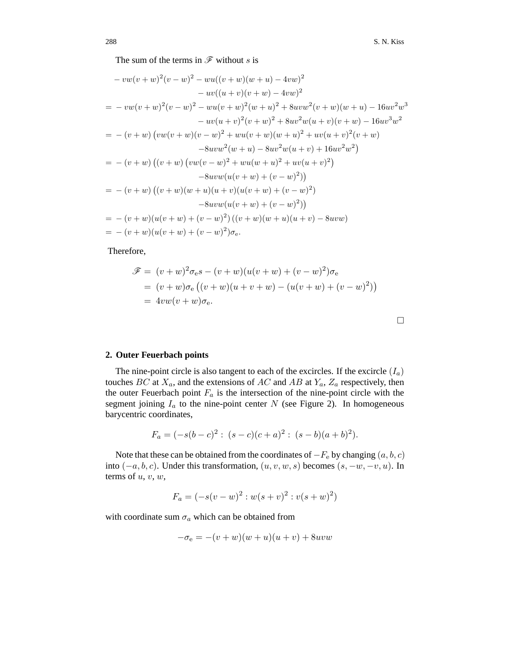The sum of the terms in  $\mathscr F$  without s is

$$
-vw(v+w)^{2}(v-w)^{2} - wu((v+w)(w+u) - 4vw)^{2}
$$
  
\n
$$
-wv((u+v)(v+w) - 4vw)^{2}
$$
  
\n
$$
= -vw(v+w)^{2}(v-w)^{2} - wu(v+w)^{2}(w+u)^{2} + 8uvw^{2}(v+w)(w+u) - 16uv^{2}w^{3}
$$
  
\n
$$
-uv(u+v)^{2}(v+w)^{2} + 8uv^{2}w(u+v)(v+w) - 16uv^{3}w^{2}
$$
  
\n
$$
= -(v+w)(vw(v+w)(v-w)^{2} + wu(v+w)(w+u)^{2} + uv(u+v)^{2}(v+w)
$$
  
\n
$$
-8uvw^{2}(w+u) - 8uv^{2}w(u+v) + 16uv^{2}w^{2})
$$
  
\n
$$
= -(v+w)(v+w)(vw(v-w)^{2} + wu(w+u)^{2} + uv(u+v)^{2})
$$
  
\n
$$
-8uvw(u(v+w) + (v-w)^{2}))
$$
  
\n
$$
= -(v+w)((v+w)(w+u)(u+v)(u(v+w) + (v-w)^{2}))
$$
  
\n
$$
-8uvw(u(v+w) + (v-w)^{2}))
$$
  
\n
$$
= -(v+w)(u(v+w) + (v-w)^{2})(v+w)(w+u)(u+v) - 8uvw)
$$
  
\n
$$
= -(v+w)(u(v+w) + (v-w)^{2})(v+w)(w+u)(u+v) - 8uvw)
$$
  
\n
$$
= -(v+w)(u(v+w) + (v-w)^{2})\sigma_{e}.
$$

Therefore,

$$
\mathcal{F} = (v+w)^2 \sigma_e s - (v+w)(u(v+w) + (v-w)^2) \sigma_e \n= (v+w) \sigma_e ((v+w)(u+v+w) - (u(v+w) + (v-w)^2)) \n= 4vw(v+w) \sigma_e.
$$

#### **2. Outer Feuerbach points**

The nine-point circle is also tangent to each of the excircles. If the excircle  $(I_a)$ touches  $BC$  at  $X_a$ , and the extensions of  $AC$  and  $AB$  at  $Y_a$ ,  $Z_a$  respectively, then the outer Feuerbach point  $F_a$  is the intersection of the nine-point circle with the segment joining  $I_a$  to the nine-point center  $N$  (see Figure 2). In homogeneous barycentric coordinates,

$$
F_a = (-s(b-c)^2 : (s-c)(c+a)^2 : (s-b)(a+b)^2).
$$

Note that these can be obtained from the coordinates of  $-F_e$  by changing  $(a, b, c)$ into  $(-a, b, c)$ . Under this transformation,  $(u, v, w, s)$  becomes  $(s, -w, -v, u)$ . In terms of  $u, v, w$ ,

$$
F_a = (-s(v - w)^2 : w(s + v)^2 : v(s + w)^2)
$$

with coordinate sum  $\sigma_a$  which can be obtained from

$$
-\sigma_e = -(v+w)(w+u)(u+v) + 8uvw
$$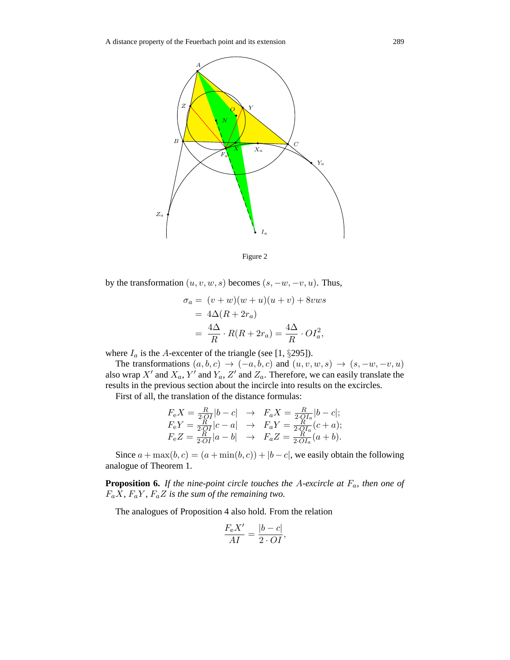



by the transformation  $(u, v, w, s)$  becomes  $(s, -w, -v, u)$ . Thus,

$$
\sigma_a = (v+w)(w+u)(u+v) + 8vws
$$
  
=  $4\Delta(R + 2r_a)$   
=  $\frac{4\Delta}{R} \cdot R(R + 2r_a) = \frac{4\Delta}{R} \cdot O I_a^2$ ,

where  $I_a$  is the A-excenter of the triangle (see [1, §295]).

The transformations  $(a, b, c) \rightarrow (-a, b, c)$  and  $(u, v, w, s) \rightarrow (s, -w, -v, u)$ also wrap  $X'$  and  $X_a$ ,  $Y'$  and  $Y_a$ ,  $Z'$  and  $Z_a$ . Therefore, we can easily translate the results in the previous section about the incircle into results on the excircles.

First of all, the translation of the distance formulas:

$$
F_e X = \frac{R}{2 \cdot OI} |b - c| \rightarrow F_a X = \frac{R}{2 \cdot OI_a} |b - c|;
$$
  
\n
$$
F_e Y = \frac{R}{2 \cdot OI} |c - a| \rightarrow F_a Y = \frac{R}{2 \cdot OI_a} (c + a);
$$
  
\n
$$
F_e Z = \frac{R}{2 \cdot OI} |a - b| \rightarrow F_a Z = \frac{R}{2 \cdot OI_a} (a + b).
$$

Since  $a + \max(b, c) = (a + \min(b, c)) + |b - c|$ , we easily obtain the following analogue of Theorem 1.

**Proposition 6.** *If the nine-point circle touches the* A*-excircle at* F*a, then one of*  $F_aX$ ,  $F_aY$ ,  $F_aZ$  *is the sum of the remaining two.* 

The analogues of Proposition 4 also hold. From the relation

$$
\frac{F_{\rm e}X'}{AI} = \frac{|b - c|}{2 \cdot OI},
$$